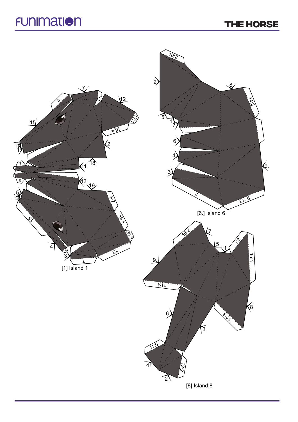## **THE HORSE**

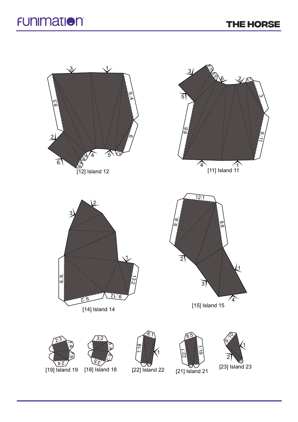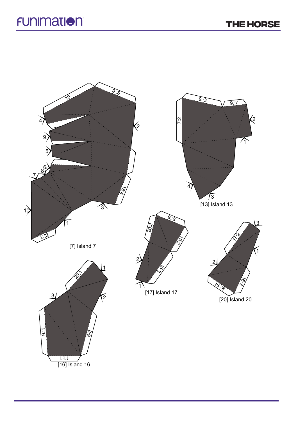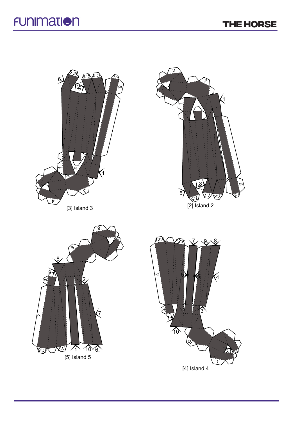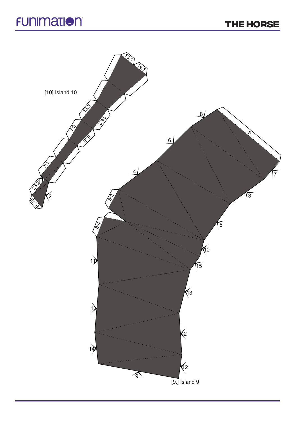